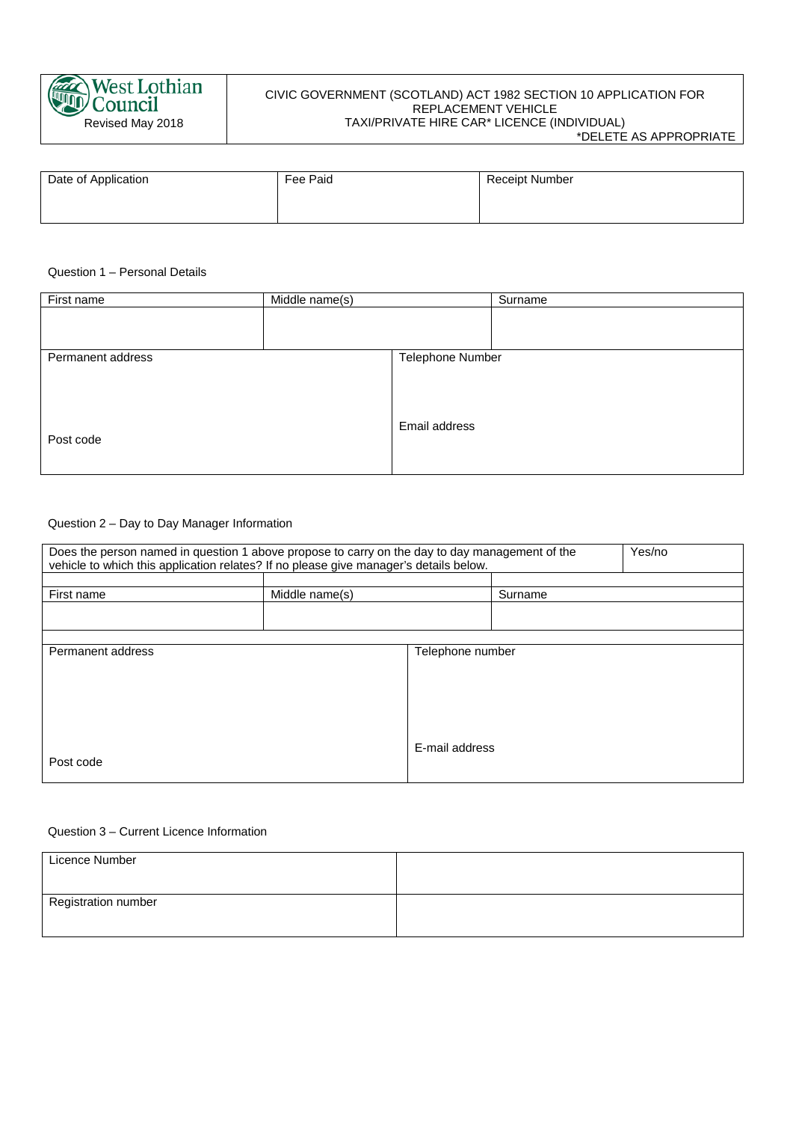

# CIVIC GOVERNMENT (SCOTLAND) ACT 1982 SECTION 10 APPLICATION FOR REPLACEMENT VEHICLE TAXI/PRIVATE HIRE CAR\* LICENCE (INDIVIDUAL)

\*DELETE AS APPROPRIATE

| Date of Application | Fee Paid | <b>Receipt Number</b> |
|---------------------|----------|-----------------------|
|                     |          |                       |

# Question 1 – Personal Details

| First name        | Middle name(s) |                  | Surname |
|-------------------|----------------|------------------|---------|
|                   |                |                  |         |
|                   |                |                  |         |
| Permanent address |                | Telephone Number |         |
|                   |                |                  |         |
|                   |                |                  |         |
|                   |                |                  |         |
|                   |                | Email address    |         |
| Post code         |                |                  |         |
|                   |                |                  |         |
|                   |                |                  |         |

### Question 2 – Day to Day Manager Information

| Yes/no<br>Does the person named in question 1 above propose to carry on the day to day management of the<br>vehicle to which this application relates? If no please give manager's details below. |                |                  |         |  |
|---------------------------------------------------------------------------------------------------------------------------------------------------------------------------------------------------|----------------|------------------|---------|--|
|                                                                                                                                                                                                   |                |                  |         |  |
| First name                                                                                                                                                                                        | Middle name(s) |                  | Surname |  |
|                                                                                                                                                                                                   |                |                  |         |  |
|                                                                                                                                                                                                   |                |                  |         |  |
| Permanent address                                                                                                                                                                                 |                | Telephone number |         |  |
|                                                                                                                                                                                                   |                |                  |         |  |
|                                                                                                                                                                                                   |                |                  |         |  |
|                                                                                                                                                                                                   |                |                  |         |  |
|                                                                                                                                                                                                   |                |                  |         |  |
|                                                                                                                                                                                                   |                | E-mail address   |         |  |
| Post code                                                                                                                                                                                         |                |                  |         |  |
|                                                                                                                                                                                                   |                |                  |         |  |

## Question 3 – Current Licence Information

| Licence Number      |  |
|---------------------|--|
|                     |  |
| Registration number |  |
|                     |  |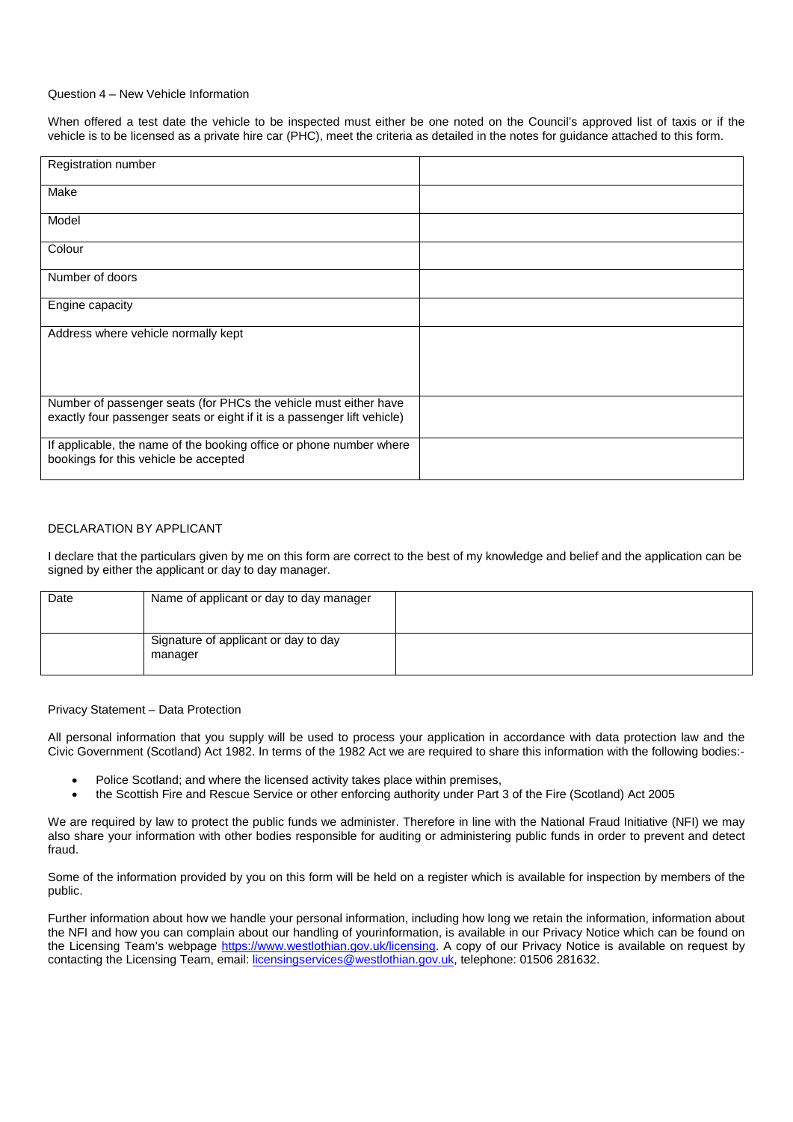#### Question 4 – New Vehicle Information

When offered a test date the vehicle to be inspected must either be one noted on the Council's approved list of taxis or if the vehicle is to be licensed as a private hire car (PHC), meet the criteria as detailed in the notes for guidance attached to this form.

| Registration number                                                                                                                          |  |
|----------------------------------------------------------------------------------------------------------------------------------------------|--|
| Make                                                                                                                                         |  |
| Model                                                                                                                                        |  |
| Colour                                                                                                                                       |  |
| Number of doors                                                                                                                              |  |
| Engine capacity                                                                                                                              |  |
| Address where vehicle normally kept                                                                                                          |  |
| Number of passenger seats (for PHCs the vehicle must either have<br>exactly four passenger seats or eight if it is a passenger lift vehicle) |  |
| If applicable, the name of the booking office or phone number where<br>bookings for this vehicle be accepted                                 |  |

### DECLARATION BY APPLICANT

I declare that the particulars given by me on this form are correct to the best of my knowledge and belief and the application can be signed by either the applicant or day to day manager.

| Date | Name of applicant or day to day manager         |  |
|------|-------------------------------------------------|--|
|      | Signature of applicant or day to day<br>manager |  |

#### Privacy Statement – Data Protection

All personal information that you supply will be used to process your application in accordance with data protection law and the Civic Government (Scotland) Act 1982. In terms of the 1982 Act we are required to share this information with the following bodies:-

- Police Scotland; and where the licensed activity takes place within premises,
- the Scottish Fire and Rescue Service or other enforcing authority under Part 3 of the Fire (Scotland) Act 2005

We are required by law to protect the public funds we administer. Therefore in line with the National Fraud Initiative (NFI) we may also share your information with other bodies responsible for auditing or administering public funds in order to prevent and detect fraud.

Some of the information provided by you on this form will be held on a register which is available for inspection by members of the public.

Further information about how we handle your personal information, including how long we retain the information, information about the NFI and how you can complain about our handling of yourinformation, is available in our Privacy Notice which can be found on the Licensing Team's webpage [https://www.westlothian.gov.uk/licensing.](https://www.westlothian.gov.uk/licensing) A copy of our Privacy Notice is available on request by contacting the Licensing Team, email[: licensingservices@westlothian.gov.uk,](mailto:licensingservices@westlothian.gov.uk) telephone: 01506 281632.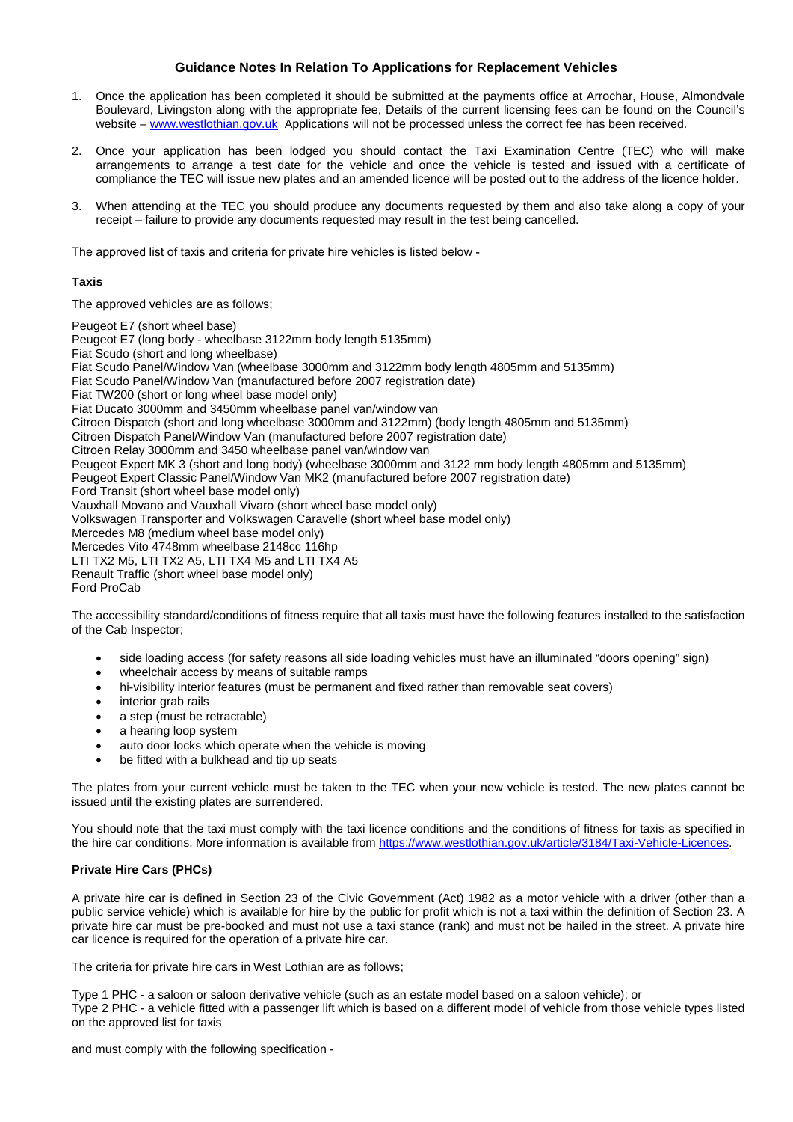## **Guidance Notes In Relation To Applications for Replacement Vehicles**

- 1. Once the application has been completed it should be submitted at the payments office at Arrochar, House, Almondvale Boulevard, Livingston along with the appropriate fee, Details of the current licensing fees can be found on the Council's website – [www.westlothian.gov.uk](http://www.westlothian.gov.uk/) Applications will not be processed unless the correct fee has been received.
- 2. Once your application has been lodged you should contact the Taxi Examination Centre (TEC) who will make arrangements to arrange a test date for the vehicle and once the vehicle is tested and issued with a certificate of compliance the TEC will issue new plates and an amended licence will be posted out to the address of the licence holder.
- 3. When attending at the TEC you should produce any documents requested by them and also take along a copy of your receipt – failure to provide any documents requested may result in the test being cancelled.

The approved list of taxis and criteria for private hire vehicles is listed below -

## **Taxis**

The approved vehicles are as follows;

Peugeot E7 (short wheel base)

Peugeot E7 (long body - wheelbase 3122mm body length 5135mm) Fiat Scudo (short and long wheelbase) Fiat Scudo Panel/Window Van (wheelbase 3000mm and 3122mm body length 4805mm and 5135mm) Fiat Scudo Panel/Window Van (manufactured before 2007 registration date) Fiat TW200 (short or long wheel base model only) Fiat Ducato 3000mm and 3450mm wheelbase panel van/window van Citroen Dispatch (short and long wheelbase 3000mm and 3122mm) (body length 4805mm and 5135mm) Citroen Dispatch Panel/Window Van (manufactured before 2007 registration date) Citroen Relay 3000mm and 3450 wheelbase panel van/window van Peugeot Expert MK 3 (short and long body) (wheelbase 3000mm and 3122 mm body length 4805mm and 5135mm) Peugeot Expert Classic Panel/Window Van MK2 (manufactured before 2007 registration date) Ford Transit (short wheel base model only) Vauxhall Movano and Vauxhall Vivaro (short wheel base model only) Volkswagen Transporter and Volkswagen Caravelle (short wheel base model only) Mercedes M8 (medium wheel base model only) Mercedes Vito 4748mm wheelbase 2148cc 116hp LTI TX2 M5, LTI TX2 A5, LTI TX4 M5 and LTI TX4 A5 Renault Traffic (short wheel base model only) Ford ProCab

The accessibility standard/conditions of fitness require that all taxis must have the following features installed to the satisfaction of the Cab Inspector;

- side loading access (for safety reasons all side loading vehicles must have an illuminated "doors opening" sign)
- wheelchair access by means of suitable ramps
- hi-visibility interior features (must be permanent and fixed rather than removable seat covers)
- interior grab rails
- a step (must be retractable)
- a hearing loop system
- auto door locks which operate when the vehicle is moving
- be fitted with a bulkhead and tip up seats

The plates from your current vehicle must be taken to the TEC when your new vehicle is tested. The new plates cannot be issued until the existing plates are surrendered.

You should note that the taxi must comply with the taxi licence conditions and the conditions of fitness for taxis as specified in the hire car conditions. More information is available fro[m https://www.westlothian.gov.uk/article/3184/Taxi-Vehicle-Licences.](https://www.westlothian.gov.uk/article/3184/Taxi-Vehicle-Licences)

## **Private Hire Cars (PHCs)**

A private hire car is defined in Section 23 of the Civic Government (Act) 1982 as a motor vehicle with a driver (other than a public service vehicle) which is available for hire by the public for profit which is not a taxi within the definition of Section 23. A private hire car must be pre-booked and must not use a taxi stance (rank) and must not be hailed in the street. A private hire car licence is required for the operation of a private hire car.

The criteria for private hire cars in West Lothian are as follows;

Type 1 PHC - a saloon or saloon derivative vehicle (such as an estate model based on a saloon vehicle); or Type 2 PHC - a vehicle fitted with a passenger lift which is based on a different model of vehicle from those vehicle types listed on the approved list for taxis

and must comply with the following specification -